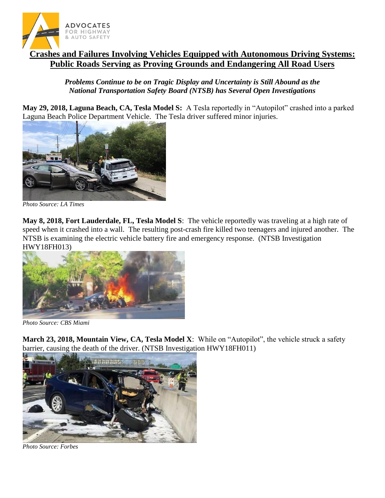

## **Crashes and Failures Involving Vehicles Equipped with Autonomous Driving Systems: Public Roads Serving as Proving Grounds and Endangering All Road Users**

*Problems Continue to be on Tragic Display and Uncertainty is Still Abound as the National Transportation Safety Board (NTSB) has Several Open Investigations*

**May 29, 2018, Laguna Beach, CA, Tesla Model S:** A Tesla reportedly in "Autopilot" crashed into a parked Laguna Beach Police Department Vehicle. The Tesla driver suffered minor injuries.



*Photo Source: LA Times*

**May 8, 2018, Fort Lauderdale, FL, Tesla Model S**: The vehicle reportedly was traveling at a high rate of speed when it crashed into a wall. The resulting post-crash fire killed two teenagers and injured another. The NTSB is examining the electric vehicle battery fire and emergency response. (NTSB Investigation HWY18FH013)



*Photo Source: CBS Miami*

**March 23, 2018, Mountain View, CA, Tesla Model X**: While on "Autopilot", the vehicle struck a safety barrier, causing the death of the driver. (NTSB Investigation HWY18FH011)



*Photo Source: Forbes*